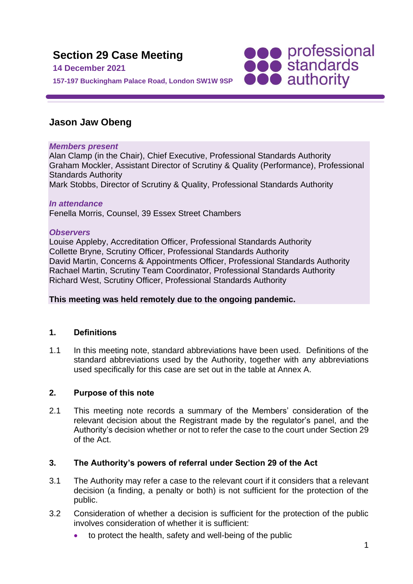

# **Jason Jaw Obeng**

# *Members present*

Alan Clamp (in the Chair), Chief Executive, Professional Standards Authority Graham Mockler, Assistant Director of Scrutiny & Quality (Performance), Professional Standards Authority Mark Stobbs, Director of Scrutiny & Quality, Professional Standards Authority

# *In attendance*

Fenella Morris, Counsel, 39 Essex Street Chambers

#### *Observers*

Louise Appleby, Accreditation Officer, Professional Standards Authority Collette Bryne, Scrutiny Officer, Professional Standards Authority David Martin, Concerns & Appointments Officer, Professional Standards Authority Rachael Martin, Scrutiny Team Coordinator, Professional Standards Authority Richard West, Scrutiny Officer, Professional Standards Authority

# **This meeting was held remotely due to the ongoing pandemic.**

# **1. Definitions**

1.1 In this meeting note, standard abbreviations have been used. Definitions of the standard abbreviations used by the Authority, together with any abbreviations used specifically for this case are set out in the table at Annex A.

# **2. Purpose of this note**

2.1 This meeting note records a summary of the Members' consideration of the relevant decision about the Registrant made by the regulator's panel, and the Authority's decision whether or not to refer the case to the court under Section 29 of the Act.

# **3. The Authority's powers of referral under Section 29 of the Act**

- 3.1 The Authority may refer a case to the relevant court if it considers that a relevant decision (a finding, a penalty or both) is not sufficient for the protection of the public.
- 3.2 Consideration of whether a decision is sufficient for the protection of the public involves consideration of whether it is sufficient:
	- to protect the health, safety and well-being of the public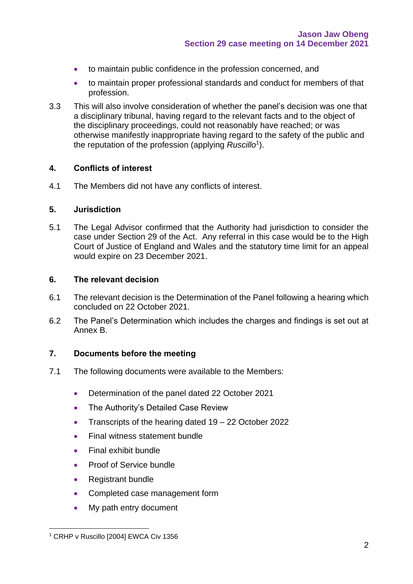- to maintain public confidence in the profession concerned, and
- to maintain proper professional standards and conduct for members of that profession.
- 3.3 This will also involve consideration of whether the panel's decision was one that a disciplinary tribunal, having regard to the relevant facts and to the object of the disciplinary proceedings, could not reasonably have reached; or was otherwise manifestly inappropriate having regard to the safety of the public and the reputation of the profession (applying *Ruscillo*<sup>1</sup> ).

#### **4. Conflicts of interest**

4.1 The Members did not have any conflicts of interest.

#### **5. Jurisdiction**

5.1 The Legal Advisor confirmed that the Authority had jurisdiction to consider the case under Section 29 of the Act. Any referral in this case would be to the High Court of Justice of England and Wales and the statutory time limit for an appeal would expire on 23 December 2021.

#### **6. The relevant decision**

- 6.1 The relevant decision is the Determination of the Panel following a hearing which concluded on 22 October 2021.
- 6.2 The Panel's Determination which includes the charges and findings is set out at Annex B.

# **7. Documents before the meeting**

- 7.1 The following documents were available to the Members:
	- Determination of the panel dated 22 October 2021
	- The Authority's Detailed Case Review
	- Transcripts of the hearing dated 19 22 October 2022
	- Final witness statement bundle
	- Final exhibit bundle
	- Proof of Service bundle
	- Registrant bundle
	- Completed case management form
	- My path entry document

<sup>&</sup>lt;sup>1</sup> CRHP v Ruscillo [2004] EWCA Civ 1356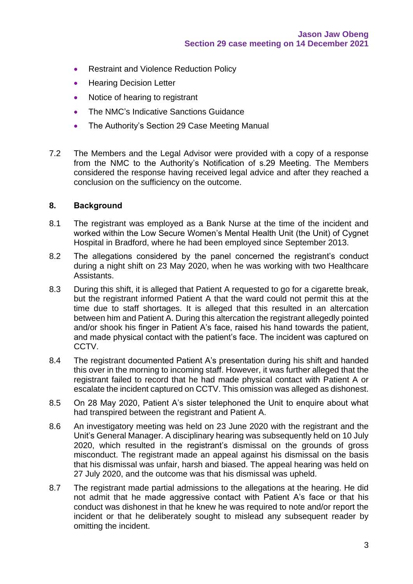- Restraint and Violence Reduction Policy
- Hearing Decision Letter
- Notice of hearing to registrant
- The NMC's Indicative Sanctions Guidance
- The Authority's Section 29 Case Meeting Manual
- 7.2 The Members and the Legal Advisor were provided with a copy of a response from the NMC to the Authority's Notification of s.29 Meeting. The Members considered the response having received legal advice and after they reached a conclusion on the sufficiency on the outcome.

#### **8. Background**

- 8.1 The registrant was employed as a Bank Nurse at the time of the incident and worked within the Low Secure Women's Mental Health Unit (the Unit) of Cygnet Hospital in Bradford, where he had been employed since September 2013.
- 8.2 The allegations considered by the panel concerned the registrant's conduct during a night shift on 23 May 2020, when he was working with two Healthcare Assistants.
- 8.3 During this shift, it is alleged that Patient A requested to go for a cigarette break, but the registrant informed Patient A that the ward could not permit this at the time due to staff shortages. It is alleged that this resulted in an altercation between him and Patient A. During this altercation the registrant allegedly pointed and/or shook his finger in Patient A's face, raised his hand towards the patient, and made physical contact with the patient's face. The incident was captured on CCTV.
- 8.4 The registrant documented Patient A's presentation during his shift and handed this over in the morning to incoming staff. However, it was further alleged that the registrant failed to record that he had made physical contact with Patient A or escalate the incident captured on CCTV. This omission was alleged as dishonest.
- 8.5 On 28 May 2020, Patient A's sister telephoned the Unit to enquire about what had transpired between the registrant and Patient A.
- 8.6 An investigatory meeting was held on 23 June 2020 with the registrant and the Unit's General Manager. A disciplinary hearing was subsequently held on 10 July 2020, which resulted in the registrant's dismissal on the grounds of gross misconduct. The registrant made an appeal against his dismissal on the basis that his dismissal was unfair, harsh and biased. The appeal hearing was held on 27 July 2020, and the outcome was that his dismissal was upheld.
- 8.7 The registrant made partial admissions to the allegations at the hearing. He did not admit that he made aggressive contact with Patient A's face or that his conduct was dishonest in that he knew he was required to note and/or report the incident or that he deliberately sought to mislead any subsequent reader by omitting the incident.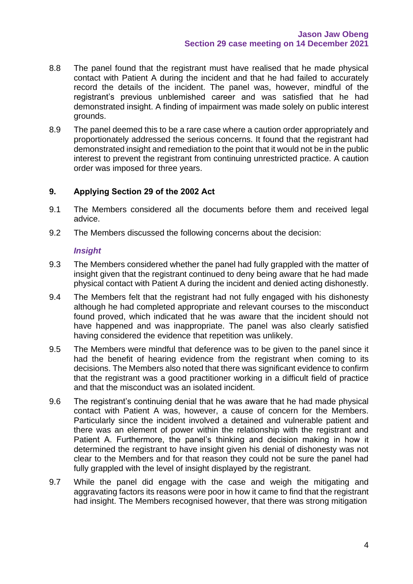- 8.8 The panel found that the registrant must have realised that he made physical contact with Patient A during the incident and that he had failed to accurately record the details of the incident. The panel was, however, mindful of the registrant's previous unblemished career and was satisfied that he had demonstrated insight. A finding of impairment was made solely on public interest grounds.
- 8.9 The panel deemed this to be a rare case where a caution order appropriately and proportionately addressed the serious concerns. It found that the registrant had demonstrated insight and remediation to the point that it would not be in the public interest to prevent the registrant from continuing unrestricted practice. A caution order was imposed for three years.

# **9. Applying Section 29 of the 2002 Act**

- 9.1 The Members considered all the documents before them and received legal advice.
- 9.2 The Members discussed the following concerns about the decision:

#### *Insight*

- 9.3 The Members considered whether the panel had fully grappled with the matter of insight given that the registrant continued to deny being aware that he had made physical contact with Patient A during the incident and denied acting dishonestly.
- 9.4 The Members felt that the registrant had not fully engaged with his dishonesty although he had completed appropriate and relevant courses to the misconduct found proved, which indicated that he was aware that the incident should not have happened and was inappropriate. The panel was also clearly satisfied having considered the evidence that repetition was unlikely.
- 9.5 The Members were mindful that deference was to be given to the panel since it had the benefit of hearing evidence from the registrant when coming to its decisions. The Members also noted that there was significant evidence to confirm that the registrant was a good practitioner working in a difficult field of practice and that the misconduct was an isolated incident.
- 9.6 The registrant's continuing denial that he was aware that he had made physical contact with Patient A was, however, a cause of concern for the Members. Particularly since the incident involved a detained and vulnerable patient and there was an element of power within the relationship with the registrant and Patient A. Furthermore, the panel's thinking and decision making in how it determined the registrant to have insight given his denial of dishonesty was not clear to the Members and for that reason they could not be sure the panel had fully grappled with the level of insight displayed by the registrant.
- 9.7 While the panel did engage with the case and weigh the mitigating and aggravating factors its reasons were poor in how it came to find that the registrant had insight. The Members recognised however, that there was strong mitigation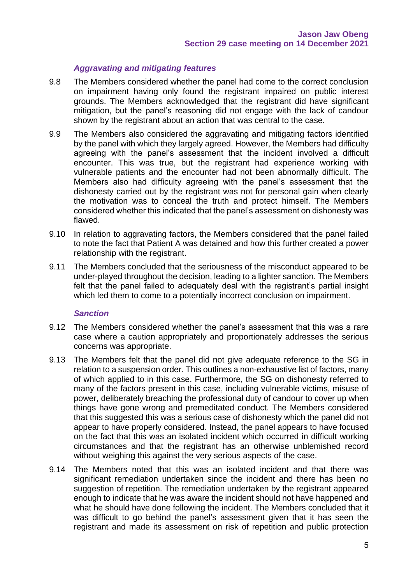# *Aggravating and mitigating features*

- 9.8 The Members considered whether the panel had come to the correct conclusion on impairment having only found the registrant impaired on public interest grounds. The Members acknowledged that the registrant did have significant mitigation, but the panel's reasoning did not engage with the lack of candour shown by the registrant about an action that was central to the case.
- 9.9 The Members also considered the aggravating and mitigating factors identified by the panel with which they largely agreed. However, the Members had difficulty agreeing with the panel's assessment that the incident involved a difficult encounter. This was true, but the registrant had experience working with vulnerable patients and the encounter had not been abnormally difficult. The Members also had difficulty agreeing with the panel's assessment that the dishonesty carried out by the registrant was not for personal gain when clearly the motivation was to conceal the truth and protect himself. The Members considered whether this indicated that the panel's assessment on dishonesty was flawed.
- 9.10 In relation to aggravating factors, the Members considered that the panel failed to note the fact that Patient A was detained and how this further created a power relationship with the registrant.
- 9.11 The Members concluded that the seriousness of the misconduct appeared to be under-played throughout the decision, leading to a lighter sanction. The Members felt that the panel failed to adequately deal with the registrant's partial insight which led them to come to a potentially incorrect conclusion on impairment.

# *Sanction*

- 9.12 The Members considered whether the panel's assessment that this was a rare case where a caution appropriately and proportionately addresses the serious concerns was appropriate.
- 9.13 The Members felt that the panel did not give adequate reference to the SG in relation to a suspension order. This outlines a non-exhaustive list of factors, many of which applied to in this case. Furthermore, the SG on dishonesty referred to many of the factors present in this case, including vulnerable victims, misuse of power, deliberately breaching the professional duty of candour to cover up when things have gone wrong and premeditated conduct. The Members considered that this suggested this was a serious case of dishonesty which the panel did not appear to have properly considered. Instead, the panel appears to have focused on the fact that this was an isolated incident which occurred in difficult working circumstances and that the registrant has an otherwise unblemished record without weighing this against the very serious aspects of the case.
- 9.14 The Members noted that this was an isolated incident and that there was significant remediation undertaken since the incident and there has been no suggestion of repetition. The remediation undertaken by the registrant appeared enough to indicate that he was aware the incident should not have happened and what he should have done following the incident. The Members concluded that it was difficult to go behind the panel's assessment given that it has seen the registrant and made its assessment on risk of repetition and public protection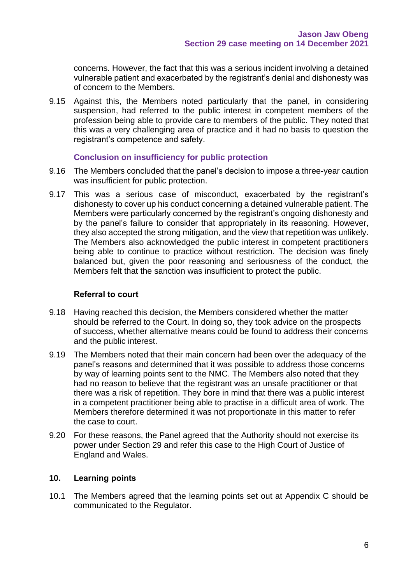concerns. However, the fact that this was a serious incident involving a detained vulnerable patient and exacerbated by the registrant's denial and dishonesty was of concern to the Members.

9.15 Against this, the Members noted particularly that the panel, in considering suspension, had referred to the public interest in competent members of the profession being able to provide care to members of the public. They noted that this was a very challenging area of practice and it had no basis to question the registrant's competence and safety.

#### **Conclusion on insufficiency for public protection**

- 9.16 The Members concluded that the panel's decision to impose a three-year caution was insufficient for public protection.
- 9.17 This was a serious case of misconduct, exacerbated by the registrant's dishonesty to cover up his conduct concerning a detained vulnerable patient. The Members were particularly concerned by the registrant's ongoing dishonesty and by the panel's failure to consider that appropriately in its reasoning. However, they also accepted the strong mitigation, and the view that repetition was unlikely. The Members also acknowledged the public interest in competent practitioners being able to continue to practice without restriction. The decision was finely balanced but, given the poor reasoning and seriousness of the conduct, the Members felt that the sanction was insufficient to protect the public.

### **Referral to court**

- 9.18 Having reached this decision, the Members considered whether the matter should be referred to the Court. In doing so, they took advice on the prospects of success, whether alternative means could be found to address their concerns and the public interest.
- 9.19 The Members noted that their main concern had been over the adequacy of the panel's reasons and determined that it was possible to address those concerns by way of learning points sent to the NMC. The Members also noted that they had no reason to believe that the registrant was an unsafe practitioner or that there was a risk of repetition. They bore in mind that there was a public interest in a competent practitioner being able to practise in a difficult area of work. The Members therefore determined it was not proportionate in this matter to refer the case to court.
- 9.20 For these reasons, the Panel agreed that the Authority should not exercise its power under Section 29 and refer this case to the High Court of Justice of England and Wales.

# **10. Learning points**

10.1 The Members agreed that the learning points set out at Appendix C should be communicated to the Regulator.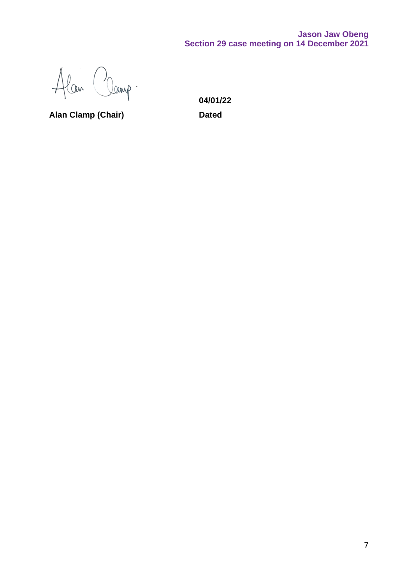# **Jason Jaw Obeng Section 29 case meeting on 14 December 2021**

Alan Clamp.

**Alan Clamp (Chair) Dated**

**04/01/22**